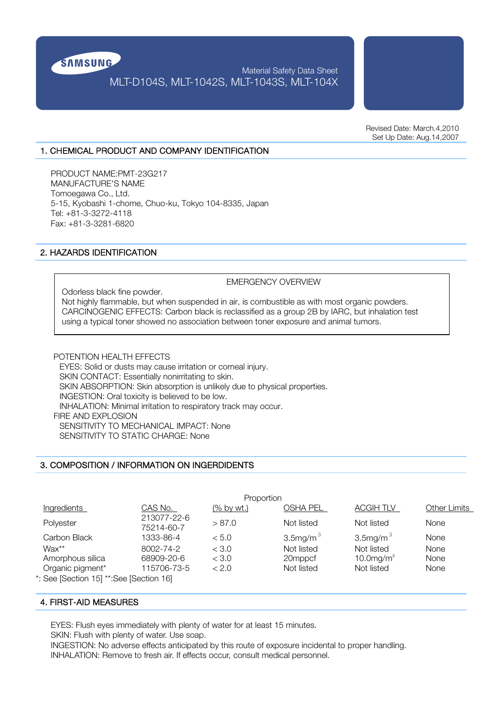

# Material Safety Data Sheet MLT-D104S, MLT-1042S, MLT-1043S, MLT-104X

Revised Date: March.4,2010 Set Up Date: Aug.14,2007

### 1. CHEMICAL PRODUCT AND COMPANY IDENTIFICATION

PRODUCT NAME:PMT-23G217 MANUFACTURE'S NAME Tomoegawa Co., Ltd. 5-15, Kyobashi 1-chome, Chuo-ku, Tokyo 104-8335, Japan Tel: +81-3-3272-4118 Fax: +81-3-3281-6820

## 2. HAZARDS IDENTIFICATION

EMERGENCY OVERVIEW

Odorless black fine powder. Not highly flammable, but when suspended in air, is combustible as with most organic powders. CARCINOGENIC EFFECTS: Carbon black is reclassified as a group 2B by IARC, but inhalation test using a typical toner showed no association between toner exposure and animal tumors.

POTENTION HEALTH EFFECTS EYES: Solid or dusts may cause irritation or corneal injury. SKIN CONTACT: Essentially nonirritating to skin. SKIN ABSORPTION: Skin absorption is unlikely due to physical properties. INGESTION: Oral toxicity is believed to be low. INHALATION: Minimal irritation to respiratory track may occur. FIRE AND EXPLOSION SENSITIVITY TO MECHANICAL IMPACT: None SENSITIVITY TO STATIC CHARGE: None

### 3. COMPOSITION / INFORMATION ON INGERDIDENTS

| Proportion                             |                           |            |                  |                  |                     |
|----------------------------------------|---------------------------|------------|------------------|------------------|---------------------|
| Ingredients                            | <u>CAS No.  </u>          | (% by wt.) | OSHA PEL         | <b>ACGIH TLV</b> | <b>Other Limits</b> |
| Polyester                              | 213077-22-6<br>75214-60-7 | > 87.0     | Not listed       | Not listed       | <b>None</b>         |
| Carbon Black                           | 1333-86-4                 | < 5.0      | $3.5$ mg/m $3.5$ | $3.5$ mg/m $3.5$ | None                |
| Wax**                                  | 8002-74-2                 | < 3.0      | Not listed       | Not listed       | None                |
| Amorphous silica                       | 68909-20-6                | < 3.0      | 20mppcf          | 10.0 $mg/m3$     | None                |
| Organic pigment*                       | 115706-73-5               | < 2.0      | Not listed       | Not listed       | None                |
| : See [Section 15] **:See [Section 16] |                           |            |                  |                  |                     |

\*: See [Section 15] \*\*:See [Section 16]

## 4. FIRST-AID MEASURES

EYES: Flush eyes immediately with plenty of water for at least 15 minutes.

SKIN: Flush with plenty of water. Use soap.

INGESTION: No adverse effects anticipated by this route of exposure incidental to proper handling. INHALATION: Remove to fresh air. If effects occur, consult medical personnel.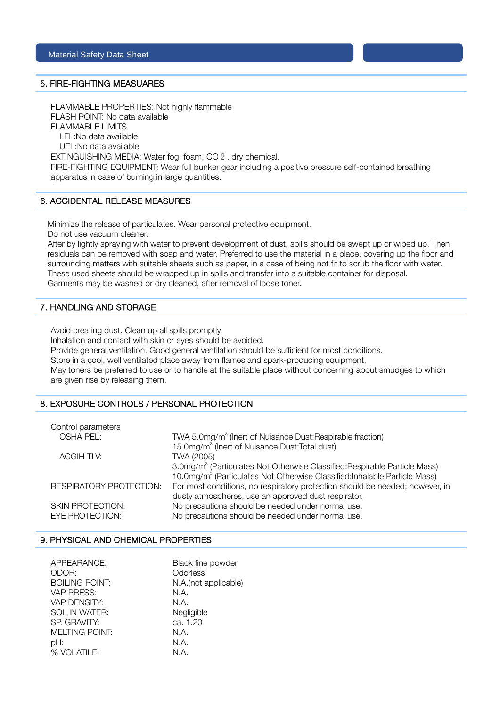### 5. FIRE-FIGHTING MEASUARES

FLAMMABLE PROPERTIES: Not highly flammable FLASH POINT: No data available FLAMMABLE LIMITS LEL:No data available UEL:No data available EXTINGUISHING MEDIA: Water fog, foam, CO 2, dry chemical.

FIRE-FIGHTING EQUIPMENT: Wear full bunker gear including a positive pressure self-contained breathing apparatus in case of burning in large quantities.

### 6. ACCIDENTAL RELEASE MEASURES

Minimize the release of particulates. Wear personal protective equipment.

Do not use vacuum cleaner.

After by lightly spraying with water to prevent development of dust, spills should be swept up or wiped up. Then residuals can be removed with soap and water. Preferred to use the material in a place, covering up the floor and surrounding matters with suitable sheets such as paper, in a case of being not fit to scrub the floor with water. These used sheets should be wrapped up in spills and transfer into a suitable container for disposal. Garments may be washed or dry cleaned, after removal of loose toner.

## 7. HANDLING AND STORAGE

Avoid creating dust. Clean up all spills promptly.

Inhalation and contact with skin or eyes should be avoided.

Provide general ventilation. Good general ventilation should be sufficient for most conditions.

Store in a cool, well ventilated place away from flames and spark-producing equipment.

May toners be preferred to use or to handle at the suitable place without concerning about smudges to which are given rise by releasing them.

### 8. EXPOSURE CONTROLS / PERSONAL PROTECTION

| Control parameters      |                                                                                        |
|-------------------------|----------------------------------------------------------------------------------------|
| OSHA PEL:               | TWA 5.0mg/m <sup>3</sup> (Inert of Nuisance Dust: Respirable fraction)                 |
|                         | 15.0mg/m <sup>3</sup> (Inert of Nuisance Dust: Total dust)                             |
| <b>ACGIH TLV:</b>       | TWA (2005)                                                                             |
|                         | 3.0mg/m <sup>3</sup> (Particulates Not Otherwise Classified: Respirable Particle Mass) |
|                         | 10.0mg/m <sup>3</sup> (Particulates Not Otherwise Classified: Inhalable Particle Mass) |
| RESPIRATORY PROTECTION: | For most conditions, no respiratory protection should be needed; however, in           |
|                         | dusty atmospheres, use an approved dust respirator.                                    |
| SKIN PROTECTION:        | No precautions should be needed under normal use.                                      |
| <b>EYE PROTECTION:</b>  | No precautions should be needed under normal use.                                      |
|                         |                                                                                        |

### 9. PHYSICAL AND CHEMICAL PROPERTIES

| APPEARANCE:           | Black fine powder     |
|-----------------------|-----------------------|
| ODOR:                 | Odorless              |
| <b>BOILING POINT:</b> | N.A. (not applicable) |
| VAP PRESS:            | N.A.                  |
| VAP DENSITY:          | N.A.                  |
| SOL IN WATER:         | Negligible            |
| SP. GRAVITY:          | ca. 1.20              |
| <b>MELTING POINT:</b> | N.A.                  |
| pH:                   | N.A.                  |
| % VOLATILE:           | N.A.                  |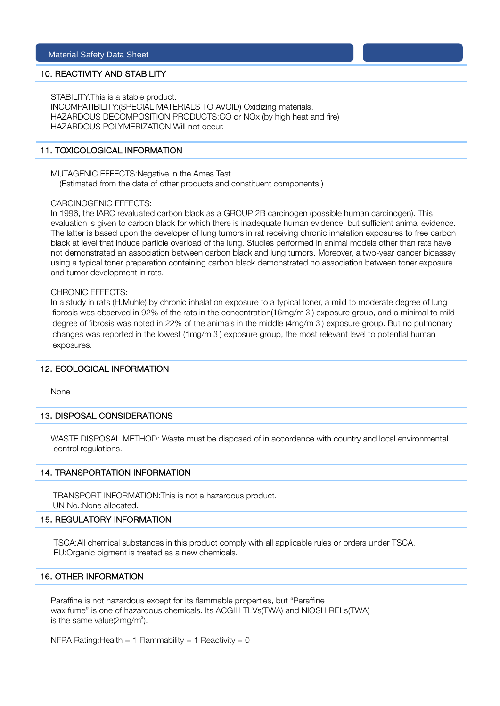### 10. REACTIVITY AND STABILITY

STABILITY:This is a stable product.

INCOMPATIBILITY:(SPECIAL MATERIALS TO AVOID) Oxidizing materials. HAZARDOUS DECOMPOSITION PRODUCTS:CO or NOx (by high heat and fire) HAZARDOUS POLYMERIZATION:Will not occur.

### 11. TOXICOLOGICAL INFORMATION

MUTAGENIC EFFECTS:Negative in the Ames Test. (Estimated from the data of other products and constituent components.)

#### CARCINOGENIC EFFECTS:

In 1996, the IARC revaluated carbon black as a GROUP 2B carcinogen (possible human carcinogen). This evaluation is given to carbon black for which there is inadequate human evidence, but sufficient animal evidence. The latter is based upon the developer of lung tumors in rat receiving chronic inhalation exposures to free carbon black at level that induce particle overload of the lung. Studies performed in animal models other than rats have not demonstrated an association between carbon black and lung tumors. Moreover, a two-year cancer bioassay using a typical toner preparation containing carbon black demonstrated no association between toner exposure and tumor development in rats.

### CHRONIC EFFECTS:

In a study in rats (H.Muhle) by chronic inhalation exposure to a typical toner, a mild to moderate degree of lung fibrosis was observed in 92% of the rats in the concentration(16mg/m3) exposure group, and a minimal to mild degree of fibrosis was noted in 22% of the animals in the middle (4mg/m3) exposure group. But no pulmonary changes was reported in the lowest (1mg/m3) exposure group, the most relevant level to potential human exposures.

#### 12. ECOLOGICAL INFORMATION

None

#### 13. DISPOSAL CONSIDERATIONS

WASTE DISPOSAL METHOD: Waste must be disposed of in accordance with country and local environmental control regulations.

### 14. TRANSPORTATION INFORMATION

TRANSPORT INFORMATION:This is not a hazardous product. UN No.:None allocated.

#### 15. REGULATORY INFORMATION

TSCA:All chemical substances in this product comply with all applicable rules or orders under TSCA. EU:Organic pigment is treated as a new chemicals.

## 16. OTHER INFORMATION

Paraffine is not hazardous except for its flammable properties, but "Paraffine wax fume" is one of hazardous chemicals. Its ACGIH TLVs(TWA) and NIOSH RELs(TWA) is the same value( $2$ mg/m $3$ ).

NFPA Rating: Health = 1 Flammability = 1 Reactivity = 0